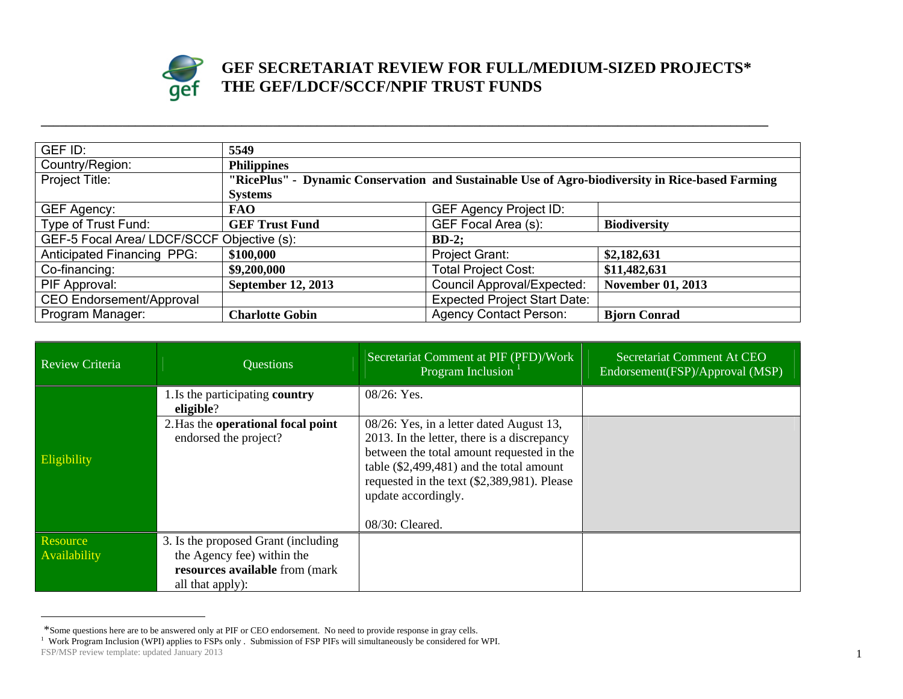

## **GEF SECRETARIAT REVIEW FOR FULL/MEDIUM-SIZED PROJECTS\* THE GEF/LDCF/SCCF/NPIF TRUST FUNDS**

| GEF ID:                                               | 5549                                                                                             |                                     |                          |
|-------------------------------------------------------|--------------------------------------------------------------------------------------------------|-------------------------------------|--------------------------|
| Country/Region:                                       | <b>Philippines</b>                                                                               |                                     |                          |
| Project Title:                                        | "RicePlus" - Dynamic Conservation and Sustainable Use of Agro-biodiversity in Rice-based Farming |                                     |                          |
|                                                       | <b>Systems</b>                                                                                   |                                     |                          |
| GEF Agency:                                           | <b>FAO</b>                                                                                       | <b>GEF Agency Project ID:</b>       |                          |
| Type of Trust Fund:                                   | <b>GEF Trust Fund</b>                                                                            | GEF Focal Area (s):                 | <b>Biodiversity</b>      |
| GEF-5 Focal Area/ LDCF/SCCF Objective (s):<br>$BD-2;$ |                                                                                                  |                                     |                          |
| <b>Anticipated Financing PPG:</b>                     | \$100,000                                                                                        | Project Grant:                      | \$2,182,631              |
| Co-financing:                                         | \$9,200,000                                                                                      | <b>Total Project Cost:</b>          | \$11,482,631             |
| PIF Approval:                                         | <b>September 12, 2013</b>                                                                        | <b>Council Approval/Expected:</b>   | <b>November 01, 2013</b> |
| <b>CEO Endorsement/Approval</b>                       |                                                                                                  | <b>Expected Project Start Date:</b> |                          |
| Program Manager:                                      | <b>Charlotte Gobin</b>                                                                           | <b>Agency Contact Person:</b>       | <b>Bjorn Conrad</b>      |

**\_\_\_\_\_\_\_\_\_\_\_\_\_\_\_\_\_\_\_\_\_\_\_\_\_\_\_\_\_\_\_\_\_\_\_\_\_\_\_\_\_\_\_\_\_\_\_\_\_\_\_\_\_\_\_\_\_\_\_\_\_\_\_\_\_\_\_\_\_\_\_\_\_\_\_\_\_\_\_\_\_\_\_\_\_\_\_\_\_\_\_\_\_\_\_\_\_\_\_\_\_\_\_\_\_\_\_\_\_\_\_\_\_\_\_\_** 

| <b>Review Criteria</b>   | <b>Ouestions</b>                                                                                                        | Secretariat Comment at PIF (PFD)/Work<br>Program Inclusion                                                                                                                                                                                                                  | Secretariat Comment At CEO<br>Endorsement(FSP)/Approval (MSP) |
|--------------------------|-------------------------------------------------------------------------------------------------------------------------|-----------------------------------------------------------------------------------------------------------------------------------------------------------------------------------------------------------------------------------------------------------------------------|---------------------------------------------------------------|
|                          | 1. Is the participating country<br>eligible?                                                                            | 08/26: Yes.                                                                                                                                                                                                                                                                 |                                                               |
| Eligibility              | 2. Has the operational focal point<br>endorsed the project?                                                             | 08/26: Yes, in a letter dated August 13,<br>2013. In the letter, there is a discrepancy<br>between the total amount requested in the<br>table $(\$2,499,481)$ and the total amount<br>requested in the text (\$2,389,981). Please<br>update accordingly.<br>08/30: Cleared. |                                                               |
| Resource<br>Availability | 3. Is the proposed Grant (including<br>the Agency fee) within the<br>resources available from (mark<br>all that apply): |                                                                                                                                                                                                                                                                             |                                                               |

FSP/MSP review template: updated January 2013 1 \*Some questions here are to be answered only at PIF or CEO endorsement. No need to provide response in gray cells.<br><sup>1</sup> Work Program Inclusion (WPI) applies to FSPs only . Submission of FSP PIFs will simultaneously be consi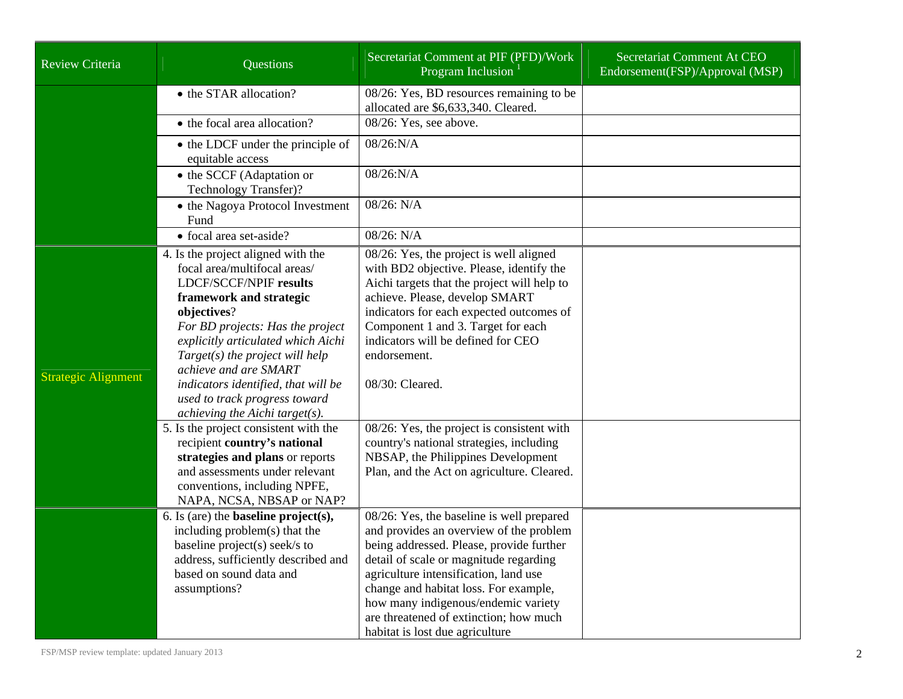| <b>Review Criteria</b>     | <b>Questions</b>                                                                                                                                                                                                                                                                                                                                                                                                                                                                                                                                                                  | Secretariat Comment at PIF (PFD)/Work<br>Program Inclusion <sup>1</sup>                                                                                                                                                                                                                                                                                                                                                                                                                                       | Secretariat Comment At CEO<br>Endorsement(FSP)/Approval (MSP) |
|----------------------------|-----------------------------------------------------------------------------------------------------------------------------------------------------------------------------------------------------------------------------------------------------------------------------------------------------------------------------------------------------------------------------------------------------------------------------------------------------------------------------------------------------------------------------------------------------------------------------------|---------------------------------------------------------------------------------------------------------------------------------------------------------------------------------------------------------------------------------------------------------------------------------------------------------------------------------------------------------------------------------------------------------------------------------------------------------------------------------------------------------------|---------------------------------------------------------------|
|                            | • the STAR allocation?                                                                                                                                                                                                                                                                                                                                                                                                                                                                                                                                                            | 08/26: Yes, BD resources remaining to be<br>allocated are \$6,633,340. Cleared.                                                                                                                                                                                                                                                                                                                                                                                                                               |                                                               |
|                            | • the focal area allocation?                                                                                                                                                                                                                                                                                                                                                                                                                                                                                                                                                      | 08/26: Yes, see above.                                                                                                                                                                                                                                                                                                                                                                                                                                                                                        |                                                               |
|                            | • the LDCF under the principle of<br>equitable access                                                                                                                                                                                                                                                                                                                                                                                                                                                                                                                             | $08/26$ :N/A                                                                                                                                                                                                                                                                                                                                                                                                                                                                                                  |                                                               |
|                            | • the SCCF (Adaptation or<br>Technology Transfer)?                                                                                                                                                                                                                                                                                                                                                                                                                                                                                                                                | 08/26:N/A                                                                                                                                                                                                                                                                                                                                                                                                                                                                                                     |                                                               |
|                            | • the Nagoya Protocol Investment<br>Fund                                                                                                                                                                                                                                                                                                                                                                                                                                                                                                                                          | 08/26: N/A                                                                                                                                                                                                                                                                                                                                                                                                                                                                                                    |                                                               |
|                            | • focal area set-aside?                                                                                                                                                                                                                                                                                                                                                                                                                                                                                                                                                           | 08/26: N/A                                                                                                                                                                                                                                                                                                                                                                                                                                                                                                    |                                                               |
| <b>Strategic Alignment</b> | 4. Is the project aligned with the<br>focal area/multifocal areas/<br><b>LDCF/SCCF/NPIF results</b><br>framework and strategic<br>objectives?<br>For BD projects: Has the project<br>explicitly articulated which Aichi<br>$Target(s)$ the project will help<br>achieve and are SMART<br>indicators identified, that will be<br>used to track progress toward<br>achieving the Aichi target( $s$ ).<br>5. Is the project consistent with the<br>recipient country's national<br>strategies and plans or reports<br>and assessments under relevant<br>conventions, including NPFE, | 08/26: Yes, the project is well aligned<br>with BD2 objective. Please, identify the<br>Aichi targets that the project will help to<br>achieve. Please, develop SMART<br>indicators for each expected outcomes of<br>Component 1 and 3. Target for each<br>indicators will be defined for CEO<br>endorsement.<br>08/30: Cleared.<br>08/26: Yes, the project is consistent with<br>country's national strategies, including<br>NBSAP, the Philippines Development<br>Plan, and the Act on agriculture. Cleared. |                                                               |
|                            | NAPA, NCSA, NBSAP or NAP?<br>6. Is (are) the <b>baseline</b> $project(s)$ ,<br>including problem(s) that the<br>baseline project(s) seek/s to<br>address, sufficiently described and<br>based on sound data and<br>assumptions?                                                                                                                                                                                                                                                                                                                                                   | 08/26: Yes, the baseline is well prepared<br>and provides an overview of the problem<br>being addressed. Please, provide further<br>detail of scale or magnitude regarding<br>agriculture intensification, land use<br>change and habitat loss. For example,<br>how many indigenous/endemic variety<br>are threatened of extinction; how much<br>habitat is lost due agriculture                                                                                                                              |                                                               |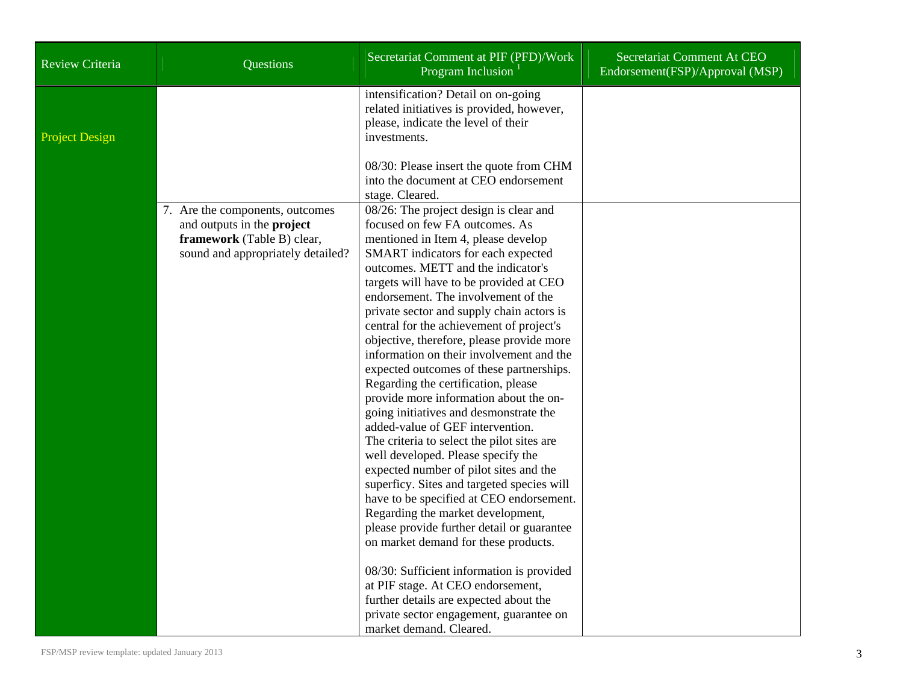| <b>Review Criteria</b> | Questions                                                                                                                               | Secretariat Comment at PIF (PFD)/Work<br>Program Inclusion                                                                                                                                                                             | Secretariat Comment At CEO<br>Endorsement(FSP)/Approval (MSP) |
|------------------------|-----------------------------------------------------------------------------------------------------------------------------------------|----------------------------------------------------------------------------------------------------------------------------------------------------------------------------------------------------------------------------------------|---------------------------------------------------------------|
| <b>Project Design</b>  |                                                                                                                                         | intensification? Detail on on-going<br>related initiatives is provided, however,<br>please, indicate the level of their<br>investments.                                                                                                |                                                               |
|                        |                                                                                                                                         | 08/30: Please insert the quote from CHM<br>into the document at CEO endorsement<br>stage. Cleared.                                                                                                                                     |                                                               |
|                        | 7. Are the components, outcomes<br>and outputs in the <b>project</b><br>framework (Table B) clear,<br>sound and appropriately detailed? | 08/26: The project design is clear and<br>focused on few FA outcomes. As<br>mentioned in Item 4, please develop<br>SMART indicators for each expected<br>outcomes. METT and the indicator's<br>targets will have to be provided at CEO |                                                               |
|                        |                                                                                                                                         | endorsement. The involvement of the<br>private sector and supply chain actors is<br>central for the achievement of project's<br>objective, therefore, please provide more<br>information on their involvement and the                  |                                                               |
|                        |                                                                                                                                         | expected outcomes of these partnerships.<br>Regarding the certification, please<br>provide more information about the on-<br>going initiatives and desmonstrate the<br>added-value of GEF intervention.                                |                                                               |
|                        |                                                                                                                                         | The criteria to select the pilot sites are<br>well developed. Please specify the<br>expected number of pilot sites and the<br>superficy. Sites and targeted species will                                                               |                                                               |
|                        |                                                                                                                                         | have to be specified at CEO endorsement.<br>Regarding the market development,<br>please provide further detail or guarantee<br>on market demand for these products.                                                                    |                                                               |
|                        |                                                                                                                                         | 08/30: Sufficient information is provided<br>at PIF stage. At CEO endorsement,<br>further details are expected about the<br>private sector engagement, guarantee on<br>market demand. Cleared.                                         |                                                               |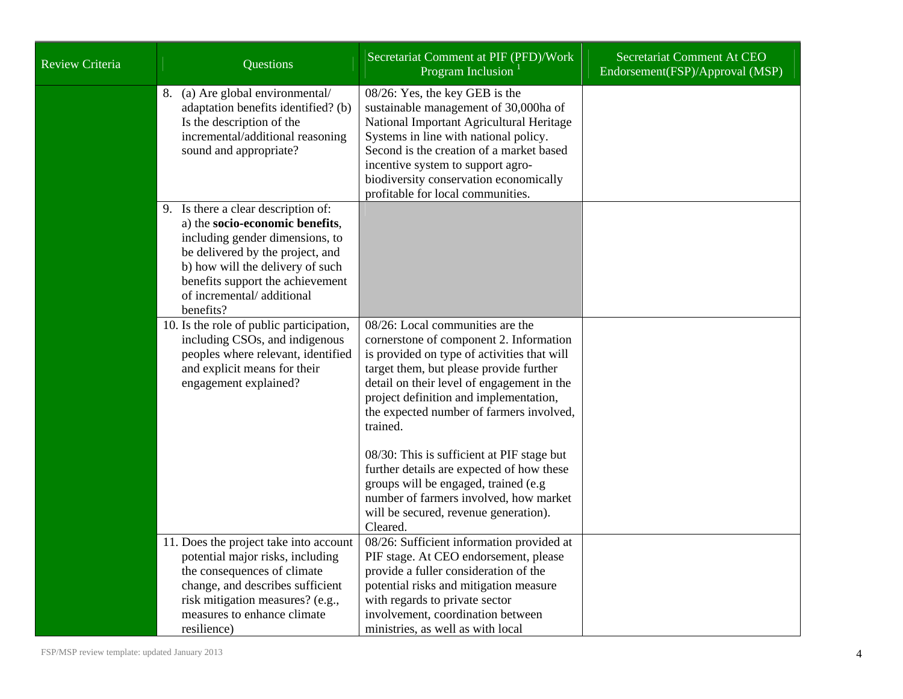| Review Criteria | Questions                                                                                                                                                                                                                                                       | Secretariat Comment at PIF (PFD)/Work<br>Program Inclusion                                                                                                                                                                                                                                                                                                                                                                                                                                                                                              | Secretariat Comment At CEO<br>Endorsement(FSP)/Approval (MSP) |
|-----------------|-----------------------------------------------------------------------------------------------------------------------------------------------------------------------------------------------------------------------------------------------------------------|---------------------------------------------------------------------------------------------------------------------------------------------------------------------------------------------------------------------------------------------------------------------------------------------------------------------------------------------------------------------------------------------------------------------------------------------------------------------------------------------------------------------------------------------------------|---------------------------------------------------------------|
|                 | 8. (a) Are global environmental/<br>adaptation benefits identified? (b)<br>Is the description of the<br>incremental/additional reasoning<br>sound and appropriate?                                                                                              | 08/26: Yes, the key GEB is the<br>sustainable management of 30,000ha of<br>National Important Agricultural Heritage<br>Systems in line with national policy.<br>Second is the creation of a market based<br>incentive system to support agro-<br>biodiversity conservation economically<br>profitable for local communities.                                                                                                                                                                                                                            |                                                               |
|                 | 9. Is there a clear description of:<br>a) the socio-economic benefits,<br>including gender dimensions, to<br>be delivered by the project, and<br>b) how will the delivery of such<br>benefits support the achievement<br>of incremental/additional<br>benefits? |                                                                                                                                                                                                                                                                                                                                                                                                                                                                                                                                                         |                                                               |
|                 | 10. Is the role of public participation,<br>including CSOs, and indigenous<br>peoples where relevant, identified<br>and explicit means for their<br>engagement explained?                                                                                       | 08/26: Local communities are the<br>cornerstone of component 2. Information<br>is provided on type of activities that will<br>target them, but please provide further<br>detail on their level of engagement in the<br>project definition and implementation,<br>the expected number of farmers involved,<br>trained.<br>08/30: This is sufficient at PIF stage but<br>further details are expected of how these<br>groups will be engaged, trained (e.g<br>number of farmers involved, how market<br>will be secured, revenue generation).<br>Cleared. |                                                               |
|                 | 11. Does the project take into account<br>potential major risks, including<br>the consequences of climate<br>change, and describes sufficient<br>risk mitigation measures? (e.g.,<br>measures to enhance climate                                                | 08/26: Sufficient information provided at<br>PIF stage. At CEO endorsement, please<br>provide a fuller consideration of the<br>potential risks and mitigation measure<br>with regards to private sector<br>involvement, coordination between                                                                                                                                                                                                                                                                                                            |                                                               |
|                 | resilience)                                                                                                                                                                                                                                                     | ministries, as well as with local                                                                                                                                                                                                                                                                                                                                                                                                                                                                                                                       |                                                               |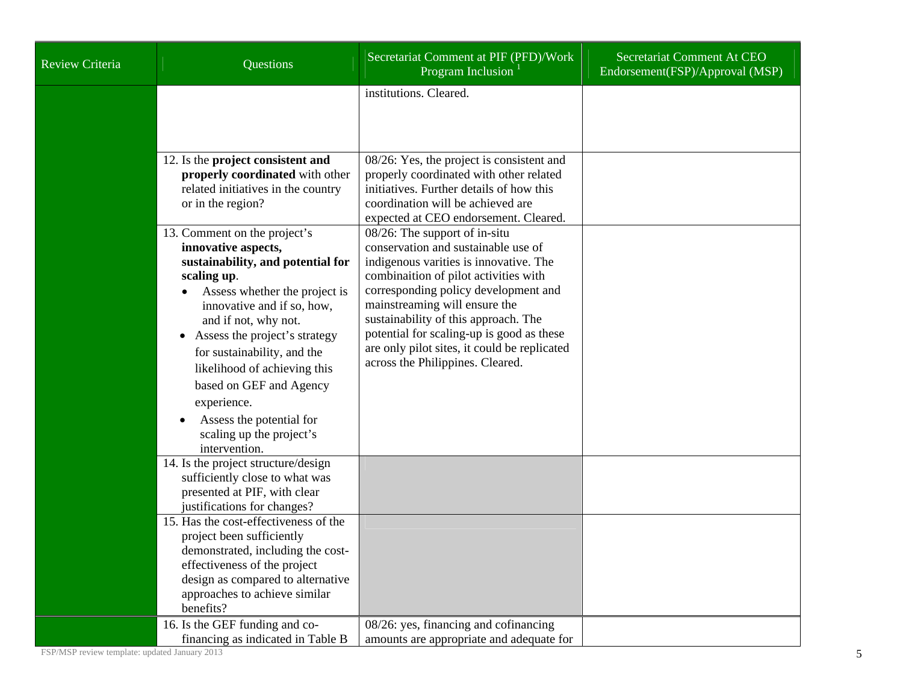| Review Criteria | Questions                                                                                                                                                                                                                                                                                                                                                                                                         | Secretariat Comment at PIF (PFD)/Work<br>Program Inclusion                                                                                                                                                                                                                                                                                                                                               | Secretariat Comment At CEO<br>Endorsement(FSP)/Approval (MSP) |
|-----------------|-------------------------------------------------------------------------------------------------------------------------------------------------------------------------------------------------------------------------------------------------------------------------------------------------------------------------------------------------------------------------------------------------------------------|----------------------------------------------------------------------------------------------------------------------------------------------------------------------------------------------------------------------------------------------------------------------------------------------------------------------------------------------------------------------------------------------------------|---------------------------------------------------------------|
|                 |                                                                                                                                                                                                                                                                                                                                                                                                                   | institutions. Cleared.                                                                                                                                                                                                                                                                                                                                                                                   |                                                               |
|                 | 12. Is the project consistent and<br>properly coordinated with other<br>related initiatives in the country<br>or in the region?                                                                                                                                                                                                                                                                                   | 08/26: Yes, the project is consistent and<br>properly coordinated with other related<br>initiatives. Further details of how this<br>coordination will be achieved are<br>expected at CEO endorsement. Cleared.                                                                                                                                                                                           |                                                               |
|                 | 13. Comment on the project's<br>innovative aspects,<br>sustainability, and potential for<br>scaling up.<br>Assess whether the project is<br>innovative and if so, how,<br>and if not, why not.<br>Assess the project's strategy<br>for sustainability, and the<br>likelihood of achieving this<br>based on GEF and Agency<br>experience.<br>Assess the potential for<br>scaling up the project's<br>intervention. | 08/26: The support of in-situ<br>conservation and sustainable use of<br>indigenous varities is innovative. The<br>combination of pilot activities with<br>corresponding policy development and<br>mainstreaming will ensure the<br>sustainability of this approach. The<br>potential for scaling-up is good as these<br>are only pilot sites, it could be replicated<br>across the Philippines. Cleared. |                                                               |
|                 | 14. Is the project structure/design<br>sufficiently close to what was<br>presented at PIF, with clear<br>justifications for changes?                                                                                                                                                                                                                                                                              |                                                                                                                                                                                                                                                                                                                                                                                                          |                                                               |
|                 | 15. Has the cost-effectiveness of the<br>project been sufficiently<br>demonstrated, including the cost-<br>effectiveness of the project<br>design as compared to alternative<br>approaches to achieve similar<br>benefits?                                                                                                                                                                                        |                                                                                                                                                                                                                                                                                                                                                                                                          |                                                               |
|                 | 16. Is the GEF funding and co-<br>financing as indicated in Table B                                                                                                                                                                                                                                                                                                                                               | 08/26: yes, financing and cofinancing<br>amounts are appropriate and adequate for                                                                                                                                                                                                                                                                                                                        |                                                               |

FSP/MSP review template: updated January 2013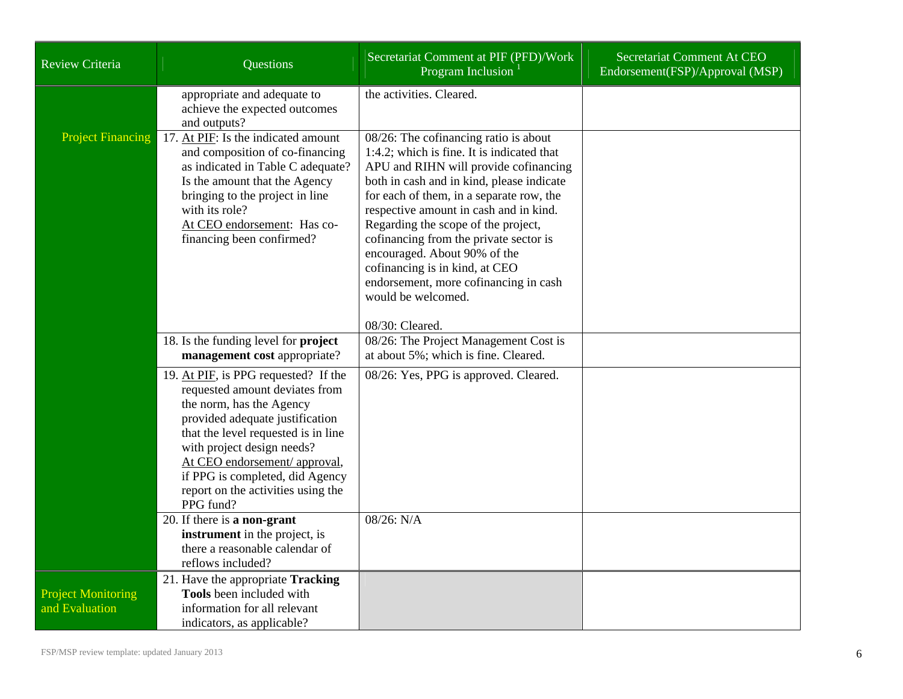| Review Criteria                             | Questions                                                                                                                                                                                                                                                                                                                         | Secretariat Comment at PIF (PFD)/Work<br>Program Inclusion <sup>1</sup>                                                                                                                                                                                                                                                                                                                                                                                                                              | Secretariat Comment At CEO<br>Endorsement(FSP)/Approval (MSP) |
|---------------------------------------------|-----------------------------------------------------------------------------------------------------------------------------------------------------------------------------------------------------------------------------------------------------------------------------------------------------------------------------------|------------------------------------------------------------------------------------------------------------------------------------------------------------------------------------------------------------------------------------------------------------------------------------------------------------------------------------------------------------------------------------------------------------------------------------------------------------------------------------------------------|---------------------------------------------------------------|
|                                             | appropriate and adequate to<br>achieve the expected outcomes<br>and outputs?                                                                                                                                                                                                                                                      | the activities. Cleared.                                                                                                                                                                                                                                                                                                                                                                                                                                                                             |                                                               |
| <b>Project Financing</b>                    | 17. At PIF: Is the indicated amount<br>and composition of co-financing<br>as indicated in Table C adequate?<br>Is the amount that the Agency<br>bringing to the project in line<br>with its role?<br>At CEO endorsement: Has co-<br>financing been confirmed?                                                                     | 08/26: The cofinancing ratio is about<br>1:4.2; which is fine. It is indicated that<br>APU and RIHN will provide cofinancing<br>both in cash and in kind, please indicate<br>for each of them, in a separate row, the<br>respective amount in cash and in kind.<br>Regarding the scope of the project,<br>cofinancing from the private sector is<br>encouraged. About 90% of the<br>cofinancing is in kind, at CEO<br>endorsement, more cofinancing in cash<br>would be welcomed.<br>08/30: Cleared. |                                                               |
|                                             | 18. Is the funding level for <b>project</b><br>management cost appropriate?                                                                                                                                                                                                                                                       | 08/26: The Project Management Cost is<br>at about 5%; which is fine. Cleared.                                                                                                                                                                                                                                                                                                                                                                                                                        |                                                               |
|                                             | 19. At PIF, is PPG requested? If the<br>requested amount deviates from<br>the norm, has the Agency<br>provided adequate justification<br>that the level requested is in line<br>with project design needs?<br>At CEO endorsement/ approval,<br>if PPG is completed, did Agency<br>report on the activities using the<br>PPG fund? | 08/26: Yes, PPG is approved. Cleared.                                                                                                                                                                                                                                                                                                                                                                                                                                                                |                                                               |
|                                             | 20. If there is a non-grant<br>instrument in the project, is<br>there a reasonable calendar of<br>reflows included?                                                                                                                                                                                                               | 08/26: N/A                                                                                                                                                                                                                                                                                                                                                                                                                                                                                           |                                                               |
| <b>Project Monitoring</b><br>and Evaluation | 21. Have the appropriate Tracking<br>Tools been included with<br>information for all relevant<br>indicators, as applicable?                                                                                                                                                                                                       |                                                                                                                                                                                                                                                                                                                                                                                                                                                                                                      |                                                               |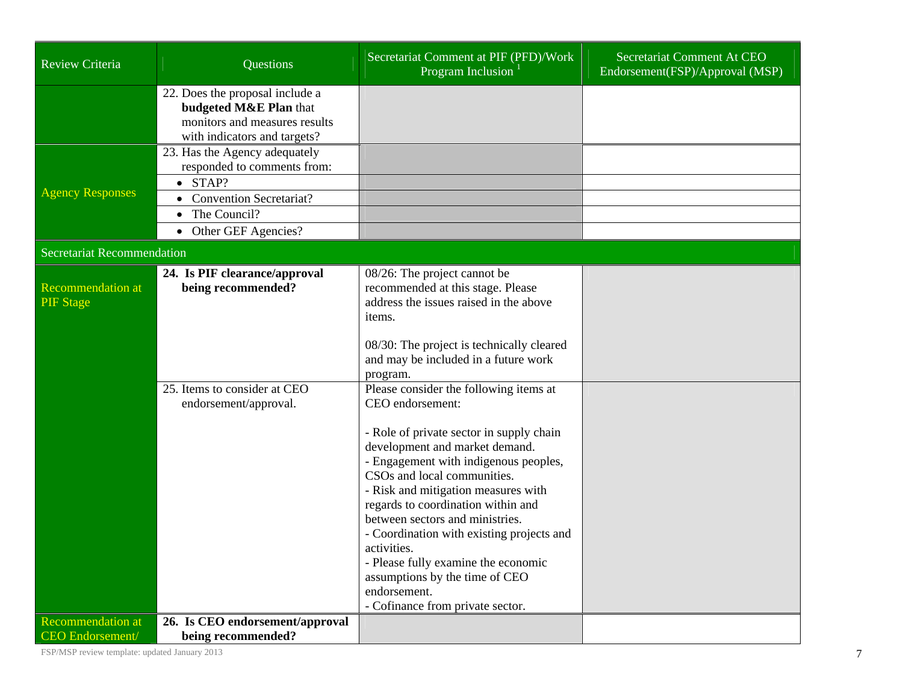| <b>Review Criteria</b>                              | Questions                                                                                                                                                             | Secretariat Comment at PIF (PFD)/Work<br>Program Inclusion                                                                                                                                                                                                                                                                                                                                                                                                                                                                                                                                                                                                                                                                                          | Secretariat Comment At CEO<br>Endorsement(FSP)/Approval (MSP) |
|-----------------------------------------------------|-----------------------------------------------------------------------------------------------------------------------------------------------------------------------|-----------------------------------------------------------------------------------------------------------------------------------------------------------------------------------------------------------------------------------------------------------------------------------------------------------------------------------------------------------------------------------------------------------------------------------------------------------------------------------------------------------------------------------------------------------------------------------------------------------------------------------------------------------------------------------------------------------------------------------------------------|---------------------------------------------------------------|
|                                                     | 22. Does the proposal include a<br>budgeted M&E Plan that<br>monitors and measures results<br>with indicators and targets?                                            |                                                                                                                                                                                                                                                                                                                                                                                                                                                                                                                                                                                                                                                                                                                                                     |                                                               |
| <b>Agency Responses</b>                             | 23. Has the Agency adequately<br>responded to comments from:<br>$\bullet$ STAP?<br><b>Convention Secretariat?</b><br>The Council?<br>Other GEF Agencies?<br>$\bullet$ |                                                                                                                                                                                                                                                                                                                                                                                                                                                                                                                                                                                                                                                                                                                                                     |                                                               |
| Secretariat Recommendation                          |                                                                                                                                                                       |                                                                                                                                                                                                                                                                                                                                                                                                                                                                                                                                                                                                                                                                                                                                                     |                                                               |
| <b>Recommendation at</b><br><b>PIF</b> Stage        | 24. Is PIF clearance/approval<br>being recommended?<br>25. Items to consider at CEO<br>endorsement/approval.                                                          | 08/26: The project cannot be<br>recommended at this stage. Please<br>address the issues raised in the above<br>items.<br>08/30: The project is technically cleared<br>and may be included in a future work<br>program.<br>Please consider the following items at<br>CEO endorsement:<br>- Role of private sector in supply chain<br>development and market demand.<br>- Engagement with indigenous peoples,<br>CSOs and local communities.<br>- Risk and mitigation measures with<br>regards to coordination within and<br>between sectors and ministries.<br>- Coordination with existing projects and<br>activities.<br>- Please fully examine the economic<br>assumptions by the time of CEO<br>endorsement.<br>- Cofinance from private sector. |                                                               |
| <b>Recommendation at</b><br><b>CEO</b> Endorsement/ | 26. Is CEO endorsement/approval<br>being recommended?                                                                                                                 |                                                                                                                                                                                                                                                                                                                                                                                                                                                                                                                                                                                                                                                                                                                                                     |                                                               |